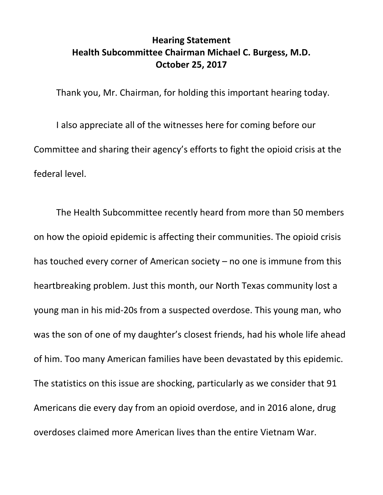## **Hearing Statement Health Subcommittee Chairman Michael C. Burgess, M.D. October 25, 2017**

Thank you, Mr. Chairman, for holding this important hearing today.

I also appreciate all of the witnesses here for coming before our Committee and sharing their agency's efforts to fight the opioid crisis at the federal level.

The Health Subcommittee recently heard from more than 50 members on how the opioid epidemic is affecting their communities. The opioid crisis has touched every corner of American society – no one is immune from this heartbreaking problem. Just this month, our North Texas community lost a young man in his mid-20s from a suspected overdose. This young man, who was the son of one of my daughter's closest friends, had his whole life ahead of him. Too many American families have been devastated by this epidemic. The statistics on this issue are shocking, particularly as we consider that 91 Americans die every day from an opioid overdose, and in 2016 alone, drug overdoses claimed more American lives than the entire Vietnam War.